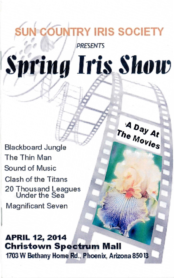## **UN COUNTRY IRIS SOCIETY**

**PRESENTS** 

# **Spring Iris Show**

A Day At

Blackboard Jungle The Thin Man Sound of Music Clash of the Titans 20 Thousand leagues Under the Sea

Magnificant Seven

**APRIL 12, 2014 Christown Spectrum Mall**  1703 W Bethany Home Rd., Phoenix, Arizona 85013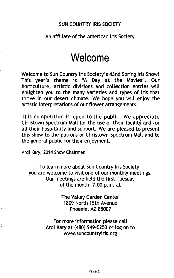#### SUN COUNTRY IRIS SOCIETY

#### An affiliate of the American Iris Society

### **Welcome**

Welcome to Sun Country Iris Society's 43nd Spring Iris Show! This year's theme is "A Day at the Movies". Our horticulture, artistic divisions and collection entries will enlighten you to the many varieties and types of iris that thrive in our desert climate. We hope you will enjoy the artistic interpretations of our flower arrangements.

This competition is open to the public. We appreciate Christown Spectrum Mall for the use of their facility and for all their hospitality and support. We are pleased to present this show to the patrons of Christown Spectrum Mall and to the general public for their enjoyment.

Ardi Kary, 2014 Show Chairman

To learn more about Sun Country Iris Society, you are welcome to visit one of our monthly meetings. Our meetings are held the first Tuesday of the month, 7:00 p.m. at

> The Valley Garden Center 1809 North 15th Avenue Phoenix, AZ 85007

For more information please call Ardi Kary at (480) 949-0253 or log on to www.suncountryiris.org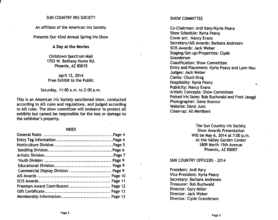#### SUN COUNTRY IRIS SOCIETY

An affiliate of the American Iris Society

Presents Our 43nd Annual Spring Iris Show

#### A Day at the Movies

Christown Spectrum Mall 1703 W. Bethany Home Rd. Phoenix, AZ 85015

#### April 12, 2014 Free Exhibit to the Public

Saturday, 11:00 a.m. to 2:00 p.m.

This is an American Iris Society sanctioned show, conducted according to AIS rules and regulations, and judged according to AIS rules. The show committee will endeavor to protect all exhibits but cannot be responsible for the loss or damage to the exhibitor's property.

#### INDEX

| Commercial Display Division  Page 9 |  |
|-------------------------------------|--|
|                                     |  |
|                                     |  |
|                                     |  |
|                                     |  |
|                                     |  |

#### SHOW COMMITTEE

Co-Chairman: Ardi Kary/Kyria Peavy Show Schedule: Kyria Peavy Cover art: Nancy Evans Secretaryl AIS Awards: Barbara Andresen SCIS Awards: Jack Weber Staging/Set-up/Properties: Clyde Granderson Classification: Show Committee Entry and Placement: Kyria Peavy and Lynn Nau Judges: Jack Weber Clerks: Chuck Krog Hospitality: Kyria Peavy  $\overline{\phantom{0}}$ Publicity: Nancy Evans Artistic Concepts: Show Committee Potted Iris Sales: Bob Buchwald and Fred Jaeggi Photographer: Gene Koonce Website: Darol Jurn Clean-up: All Members

> The Sun Country Iris Society Show Awards Presentation Will be May 6, 2014 at 7:00 p.m. At the Valley Garden Center 1809 North 15th Avenue Phoenix, AZ 85007

#### SUN COUNTRY OFFICERS - 2014

President: Ardi Kary Vice President: Kyria Peavy Secretary: Barbara Andresen Treasurer: Bob Buchwald Director: Gary Miller Director: Jack Weber Director: Clyde Granderson

Ğ.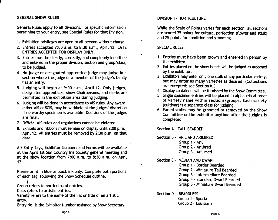#### GENERAL SHOW RULES

General Rules apply to all divisions. For specific information pertaining to your entry, see Special Rules for that Division.

- 1. Exhibition privileges are open to all persons without charge.
- 2. Entries accepted 7:00 a.m. to 8:30 a.m., April 12. LATE ENTRIES ACCEPTEO FOR OISPLAY ONLY.
- 3. Entries must be clearly, correctly, and completely identified and entered in the proper division, section and group/class; to be judged.
- 4. No judge or designated apprentice judge may judge in a section where the judge or a member of the judge's family has an entry.
- 5. Judging will begin at 9:00 a.m., April 12. Only judges, designated apprentices, show Chairpersons, and clerks are permitted in the exhibition area during judging.
- 6. Judging will be done in accordance to AIS rules. Any award, either AIS or SCIS, may be withheld at the judges' discretion if no worthy specimen is available. Decisions of the judges are final.
- 7. Official AIS rules and regulations cannot be violated.
- 8. Exhibits and ribbons must remain on display until 2:00 p.m., April 12. All entries must be removed by 2:30 p.m. on that date.

AIS Entry Tags, Exhibitor Numbers and Forms will be available at the April 1st Sun Country Iris Society general meeting and at the show location from 7:00 a.m. to 8:30 a.m. on April 12.

Please print in blue or black ink only. Complete both portions of each tag, following the Show Schedule outline.

t Group refers to horticultural entries.

Class refers to artistic entries.

Variety refers to the name of the iris or title of an artistic entry.

Entry No. is the Exhibitor Number assigned by Show Secretary.

#### DIVISION I - HORTICULTURE

While the Scale of Points varies for each section, all sections are scored 75 points for cultural perfection (flower and stalk) and 25 points for condition and grooming.

#### SPECIAL RULES

 $\cdot$ 

 $\ddot{\phantom{a}}$ 

- 1. Entries must have been grown and entered in person by the exhibitor.
- 2. Entries placed on the show bench will be judged as groomed by the exhibitor.
- 3. Exhibitors may enter only one stalk of any particular variety, but may enter as many varieties as desired. (Collections are excepted; see Section K.)
- 4. Display containers will be furnished by the Show Committee.
- 5. Single spedmen entries will be placed in alphabetical order of variety name within sections/groups. Each variety (cultivar) is a separate class for judging.
- 6. Faded stalks may be groomed or removed by the Show Committee or the exhibitor anytime after the judging is completed.

Section A - TALL BEARDED

Section B - ARIL AND ARILBRED

- Group 1 Aril
- Group 2 Arilbred
- Group 3 Aril-med

Section C - MEDIAN AND DWARF

- Group 1 Border Bearded
- Group 2 Miniature Tall Bearded
- Group 3 Intermediate Bearded
- Group 4 Standard Dwarf Bearded
- Group 5 Miniature Dwarf Bearded

Section D - BEARDLESS

Group 1 - Spuria Group 2 - Louisiana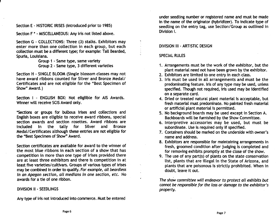Section E • HISTORIC IRISES (introduced prior to 1985)

Section F \* • MISCELLANEOUS: Any iris not listed above.

Section G • COLLECTIONS: Three (3) stalks. Exhibitors may enter more than one collection in each group, but each collection must be a different type; for example: Tall Bearded, . Spuria, Louisiana.

> Group 1 • Same type, same variety Group 2 . Same type, 3 different varieties

Section H • SINGLE BLOOM (Single blossom classes may not have award ribbons counted for Silver and Bronze Medal/ Certificates and are not eligible for the "Best Specimen of Show" Award.)

Section 1 - ENGLISH BOX: Not eliglible for AIS Awards. Winner will receive SCIS Award only.

\*Sections or groups for bulbous irises and collections and English boxes are eligible to receive award ribbons, special section awards and section rosettes. Award ribbons are included in the tally for Silver and Bronze Medal/Certificates although these entries are not eligible for the "Best Specimen of Show" Award.

Section certificates are available for award to the winner of the most blue ribbons in each section of a show that has competition in more than one type of irises provided there are at least three exhibitors and there is competition in at least five varieties/cultivars. Groups of various types of irises may be combined in order to qualify. For example, all beardless in an Apagon section, all medians in one section, etc. No awards for a tie of one ribbon.

#### DIVISION II • SEEDLINGS

Any type of iris not introduced into commerce. Must be entered

under seedling number or registered name and must be made in the name of the originator (hybridizer). To indicate type of seedling on the entry tag, use Section/Group as outlined in Division I.

#### DIVISION III • ARTISTIC DESIGN

#### SPECIAL RULES

- 1. Arrangements must be the work of the exhibitor, but the plant material need not have been grown by the exhibitor.
- 2. Exhibitors are limited to one entry in each class.
- 3. Iris must be used in all arrangements and must be the predominating feature. Iris of any type may be used, unless specified. Though not required, iris used may be identified on a separate card.
- 4. Dried or treated natural plant material is acceptable, but fresh material must predominate. No painted fresh material or artificial plant material is permitted.
- 5. No background boards may be used except in Section A. Backboards will be furnished by the Show Committee.
- 6. Interpretive accessories may be used, but must be subordinate. Use is required only if specified.
- 7. Containers should be marked on the underside with owner's name and address.
- 8. Exhibitors are responsible for maintaining arrangements in fresh, groomed condition after judging is completed and for removing exhibits promptly at the close of the show.
- 9. The use of any part(s) of plants on the state conservation list, plants that are illegal in the State of Arizona, and plants that are poisonous is strictly prohibited. When in doubt, leave it out.

The show committee will endeavor to protect all exhibits but cannot be responsible for the {oss or damage to the exhibitor's property.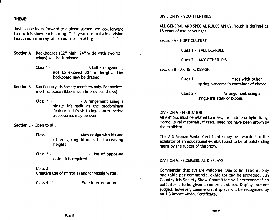#### THEME:

Just as one looks forward to a bloom season, we look forward to our iris show each spring. This year our artistic. division features an array of irises interpreting

- Section A Backboards (32" high, 24" wide with two 12" wings) will be furnished.
	- Class 1 . The Class 1 . The Class 1 .  $\blacksquare$ not to exceed 30" in height. The backboard may be draped.
- Section B Sun Country Iris Society members only. For novices (no first place ribbons won in previous shows).
	- Class 1 Arrangement using a single iris stalk as the predominant feature and fresh foliage. Interpretive accessories may be used.

Section C - Open to all.

- Class 1 The Class 1 Mass design with iris and other spring blooms in increasing heights.
- Class 2 The Class 2 The Use of opposing color iris required.

#### Class  $3 - \frac{1}{2}$

Creative use of mirror(s) and/or visible water.

Class 4 - **Free Interpretation.** 

#### DIVISION IV - YOUTH ENTRIES

ALL GENERAL AND SPECIAL RULES APPLY. Youth is defined as 18 years of age or younger.

Section A - HORTICULTURE

Class 1 - TALL BEARDED

Class 2 - ANY OTHER IRIS

Section B - ARTISTIC DESIGN

Class 1 - The Class 1 - The Links with other spring blossoms in container of choice.

Class 2 - Arrangement using a single iris stalk or bloom.

#### DIVISION V - EDUCATION

All exhibits must be related to irises, iris culture or hybridizing. Horticultural materials, if used, need not have been grown by the exhibitor.

The AIS Bronze Medal Certificate may be awarded to the exhibitor of an educational exhibit found to be of outstanding merit by the judges of the show.

#### DIVISION VI - COMMERCIAL DISPLAYS

Commercial displays are welcome. Due to limitations, only one table per commercial exhibitor can be provided. Sun Country Iris Society Show Committee will determine if an exhibitor is to be given commercial status. Displays are not judged, however, commercial displays will be recognized by an AIS Bronze Medal Certificate.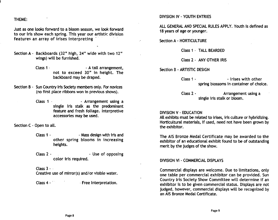#### THEME:

Just as one looks forward to a bloom season, we look forward to our iris show each spring. This year our artistic division features an array of irises interpreting

- Section A Backboards (32" high, 24" wide with two 12" wings) will be furnished.
	- Class 1 . The Class 1 . The Class 1 . A tall arrangement, not to exceed 30" in height. The backboard may be draped.
- Section B Sun Country Iris Society members only. For novices (no first place ribbons won in previous shows).
	- Class 1 Arrangement using a single iris stalk as the predominant feature and fresh foliage. Interpretive accessories may be used.

Section C - Open to all.

- Class 1  $\sim$  Mass design with iris and other spring blooms in increasing heights.
- Class 2 The Class 2 The Use of opposing color iris required.

Class  $3 - i$ 

Creative use of mirror(s) and/or visible water.

Class 4 - <sup>'</sup> **Free Interpretation.** 

#### DIVISION IV - YOUTH ENTRIES

ALL GENERAL AND SPECIAL RULES APPLY. Youth is defined as 18 years of age or younger.

Section A - HORTICULTURE

 $\mathcal{P}$ 

Class 1 - TALL BEARDED

Class 2 - ANY OTHER IRIS

Section B - ARTISTIC DESIGN

Class 1 - Trises with other spring blossoms in container of choice.

Class 2 - Arrangement using a single iris stalk or bloom.

#### DIVISION V - EDUCATION

All exhibits must be related to irises, iris culture or hybridizing. Horticultural materials, if used, need not have been grown by the exhibitor.

The AIS Bronze Medal Certificate may be awarded to the exhibitor of an educational exhibit found to be of outstanding merit by the judges of the show.

#### DIVISION VI - COMMERCIAL DISPLAYS

Commercial displays are welcome. Due to limitations, only one table per commercial exhibitor can be provided. Sun Country Iris Society Show Committee will determine if an exhibitor is to be given commercial status. Displays are not judged, however, commercial displays will be recognized by an AIS Bronze Medal Certificate.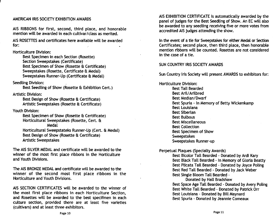#### AMERICAN IRIS SOCIETY EXHIBITION AWARDS

AIS RIBBONS for first, second, third place, and honorable mention will be awarded in each cultivar/dass as merited.

AIS ROSETTES and certificates here available will be awarded for:

Horticulture Division:

Best Specimen in each Section (Rosette) Section Sweepstakes (Certificate) Best Specimen of Show (Rosette & Certificate) Sweepstakes (Rosette, Certificate & Medal) Sweepstakes Runner-Up (Certificate & Medal)

Seedling Division:

Best Seedling of Show (Rosette & Exhibition Cert.)

Artistic Division:

Best Design of Show (Rosette & Certificate) Artistic Sweepstakes (Rosette & Certificate)

Youth Division:

Best Specimen of Show (Rosette & Certificate) Horticultural Sweepstakes (Rosette, Cert. 8: Medal

Horticultural Sweepstateks Runner-Up (Cert. 8: Medal) Best Design of Show (Rosette & Certificate) Artistic Sweepstakes

The AIS SILVER MEDAL and certificate will be awarded to the winner of the most first place ribbons in the Horticulture and Youth Divisions.

The AIS BRONZE MEDAL and certificate will be awarded to the winner of the second most first place ribbons in the Horticulture and Youth Divisions.

AIS SECTION CERTIFICATES will be awarded to the winner of the most first place ribbons in each Horticulture Section, and Rosettes will be awarded to the best specifmen in each culture section, provided there are at least five varieties (cultivars) and at least three exhibitors.

AIS EXHIBITION CERTIFICATE is automatically awarded by the panel of judges for the Best Seedling of Show. An EC will also be awarded to any seedling receiving five or more votes from accredited AIS judges attending the show.

In the event of a tie for Sweepstakes for either Medal or Section Certificates; second place, then third place, then honorable mention ribbons will be counted. Rosettes are not considered in the case of a tie.

SUN COUNTRY IRIS SOCIETY AWARDS

Sun Country Iris Society will present AWARDS to exhibitors for:

Horticulture Division: Best Tall Bearded Best Aril/Arilbred Best Median/Dwarf Best Spuria - In Memory of Betty Wickenkamp Best Louisiana Best Siberian Best Bulbous Best Miscellaneous Best Collection Best Specimen of Show Sweepstakes Sweepstakes Runner-up

Perpetual Plaques (Specialty Awards)

Best Bicolor Tall Bearded - Donated by Ardi Kary Best Black Tall Bearded - In Memory of Gloria Beatty Best Plicata Tall Bearded - Donated by Joyce Poling Best Red Tall Bearded - Donated by Jack Weber Best Single Bloom Tall Bearded -

Donated by Hall Bradshaw Best Space Age Tall Bearded - Donated by Avery Poling Best White Tall Bearded - Donated by Patrick Orr Best Louisiana - Donated by Bill Maynard Best Spuria - Donated by Jeannie Comeaux